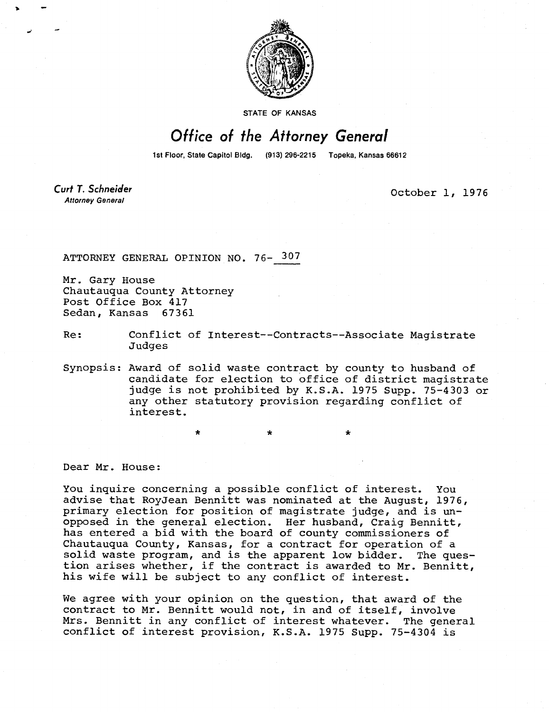

STATE OF KANSAS

## Office of the Attorney General

1st Floor, State Capitol Bldg. (913) 296-2215 Topeka, Kansas 66612

Curt T. Schneider **Attorney General** 

October 1, 1976

ATTORNEY GENERAL OPINION NO. 76- 307

Mr. Gary House Chautauqua County Attorney Post Office Box 417 Sedan, Kansas 67361

Re: Conflict of Interest--Contracts--Associate Magistrate Judges

Synopsis: Award of solid waste contract by county to husband of candidate for election to office of district magistrate judge is not prohibited by K.S.A. 1975 Supp. 75-4303 or any other statutory provision regarding conflict of interest.

Dear Mr. House:

You inquire concerning a possible conflict of interest. You advise that RoyJean Bennitt was nominated at the August, 1976, primary election for position of magistrate judge, and is unopposed in the general election. Her husband, Craig Bennitt, has entered a bid with the board of county commissioners of Chautauqua County, Kansas, for a contract for operation of a solid waste program, and is the apparent low bidder. The question arises whether, if the contract is awarded to Mr. Bennitt, his wife will be subject to any conflict of interest.

We agree with your opinion on the question, that award of the contract to Mr. Bennitt would not, in and of itself, involve Mrs. Bennitt in any conflict of interest whatever. The general conflict of interest provision, K.S.A. 1975 Supp. 75-4304 is